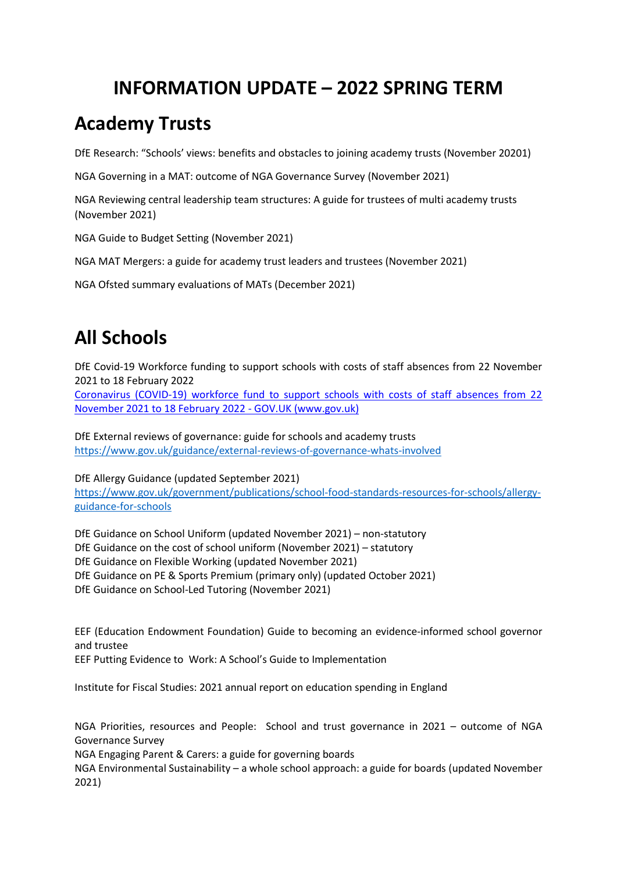## **INFORMATION UPDATE – 2022 SPRING TERM**

## **Academy Trusts**

DfE Research: "Schools' views: benefits and obstacles to joining academy trusts (November 20201)

NGA Governing in a MAT: outcome of NGA Governance Survey (November 2021)

NGA Reviewing central leadership team structures: A guide for trustees of multi academy trusts (November 2021)

NGA Guide to Budget Setting (November 2021)

NGA MAT Mergers: a guide for academy trust leaders and trustees (November 2021)

NGA Ofsted summary evaluations of MATs (December 2021)

## **All Schools**

DfE Covid-19 Workforce funding to support schools with costs of staff absences from 22 November 2021 to 18 February 2022

Coronavirus (COVID-19) workforce fund to support schools with costs of staff absences from 22 November 2021 to 18 February 2022 - GOV.UK (www.gov.uk)

DfE External reviews of governance: guide for schools and academy trusts https://www.gov.uk/guidance/external-reviews-of-governance-whats-involved

DfE Allergy Guidance (updated September 2021) https://www.gov.uk/government/publications/school-food-standards-resources-for-schools/allergyguidance-for-schools

DfE Guidance on School Uniform (updated November 2021) – non-statutory DfE Guidance on the cost of school uniform (November 2021) – statutory DfE Guidance on Flexible Working (updated November 2021) DfE Guidance on PE & Sports Premium (primary only) (updated October 2021) DfE Guidance on School-Led Tutoring (November 2021)

EEF (Education Endowment Foundation) Guide to becoming an evidence-informed school governor and trustee

EEF Putting Evidence to Work: A School's Guide to Implementation

Institute for Fiscal Studies: 2021 annual report on education spending in England

NGA Priorities, resources and People: School and trust governance in 2021 – outcome of NGA Governance Survey

NGA Engaging Parent & Carers: a guide for governing boards

NGA Environmental Sustainability – a whole school approach: a guide for boards (updated November 2021)